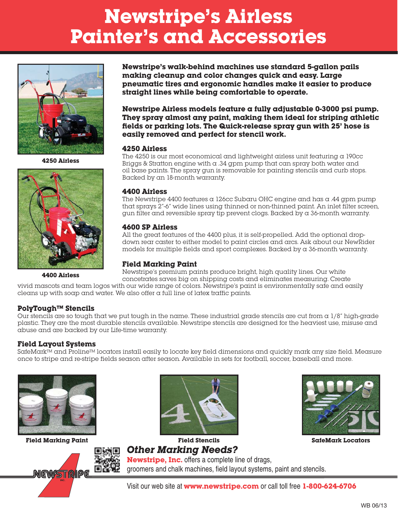# **Newstripe's Airless Painter's and Accessories**



**4250 Airless**



**Newstripe's walk-behind machines use standard 5-gallon pails making cleanup and color changes quick and easy. Large pneumatic tires and ergonomic handles make it easier to produce straight lines while being comfortable to operate.**

**Newstripe Airless models feature a fully adjustable 0-3000 psi pump. They spray almost any paint, making them ideal for striping athletic fields or parking lots. The Quick-release spray gun with 25' hose is easily removed and perfect for stencil work.**

#### **4250 Airless**

The  $4250$  is our most economical and lightweight airless unit featuring a 190 $cc$ Briggs  $\&$  Stratton engine with  $\alpha$  .34 gpm pump that can spray both water and oil base paints. The spray gun is removable for painting stencils and curb stops. Backed by an 18-month warranty.

#### **4400 Airless**

The Newstripe  $4400$  features a 126cc Subaru OHC engine and has a .44 gpm pump that sprays 2"-6" wide lines using thinned or non-thinned paint. An inlet filter screen, gun filter and reversible spray tip prevent clogs. Backed by a 36-month warranty.

#### **4600 SP Airless**

All the great features of the 4400 plus, it is self-propelled. Add the optional dropdown rear caster to either model to paint circles and arcs. Ask about our NewRider models for multiple fields and sport complexes. Backed by a 36-month warranty.

# **Field Marking Paint**

Newstripe's premium paints produce bright, high quality lines. Our white concetrates saves big on shipping costs and eliminates measuring. Create **4400 Airless**

vivid mascots and team logos with our wide range of colors. Newstripe's paint is environmentally safe and easily cleans up with soap and water. We also offer a full line of latex traffic paints.

## **PolyTough™ Stencils**

Our stencils are so tough that we put tough in the name. These industrial grade stencils are cut from  $\alpha$  1/8" high-grade plastic. They are the most durable stencils available. Newstripe stencils are designed for the heaviest use, misuse and abuse and are backed by our Life-time warranty.

## **Field Layout Systems**

SafeMark™ and Proline™ locators install easily to locate key field dimensions and quickly mark any size field. Measure once to stripe and re-stripe fields season after season. Available in sets for football, soccer, baseball and more.



**Field Marking Paint Field Stencils SafeMark Locators**







**Other Marking Needs? Newstripe, Inc.** offers a complete line of drags, groomers and chalk machines, field layout systems, paint and stencils.

Visit our web site at **www.newstripe.com** or call toll free **1-800-624-6706**